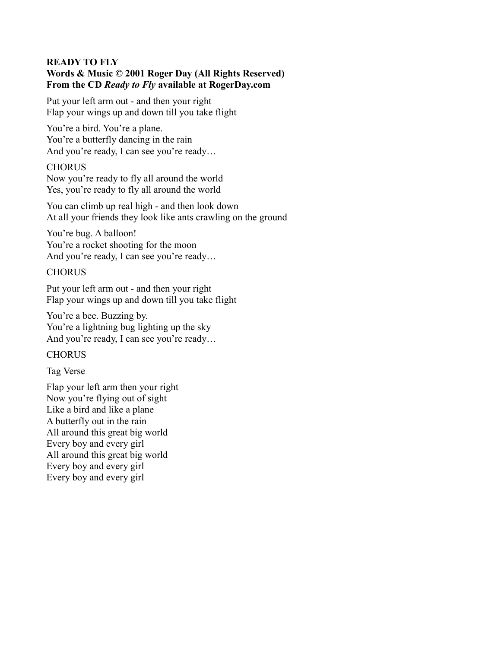# **READY TO FLY Words & Music © 2001 Roger Day (All Rights Reserved) From the CD** *Ready to Fly* **available at RogerDay.com**

Put your left arm out - and then your right Flap your wings up and down till you take flight

You're a bird. You're a plane. You're a butterfly dancing in the rain And you're ready, I can see you're ready…

# **CHORUS**

Now you're ready to fly all around the world Yes, you're ready to fly all around the world

You can climb up real high - and then look down At all your friends they look like ants crawling on the ground

You're bug. A balloon! You're a rocket shooting for the moon And you're ready, I can see you're ready…

# **CHORUS**

Put your left arm out - and then your right Flap your wings up and down till you take flight

You're a bee. Buzzing by. You're a lightning bug lighting up the sky And you're ready, I can see you're ready…

# **CHORUS**

Tag Verse

Flap your left arm then your right Now you're flying out of sight Like a bird and like a plane A butterfly out in the rain All around this great big world Every boy and every girl All around this great big world Every boy and every girl Every boy and every girl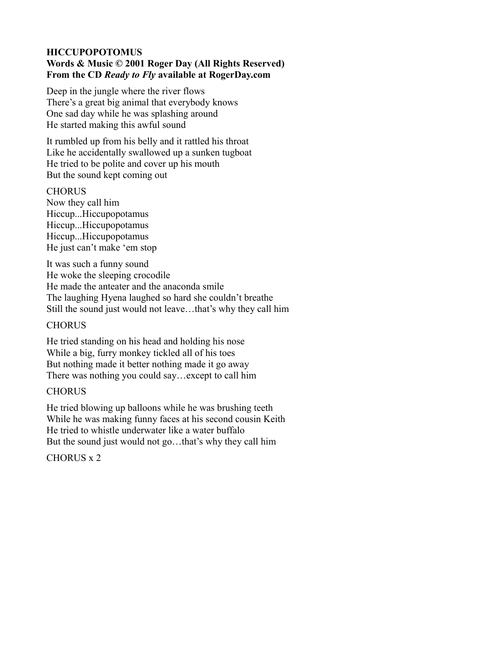## **HICCUPOPOTOMUS Words & Music © 2001 Roger Day (All Rights Reserved) From the CD** *Ready to Fly* **available at RogerDay.com**

Deep in the jungle where the river flows There's a great big animal that everybody knows One sad day while he was splashing around He started making this awful sound

It rumbled up from his belly and it rattled his throat Like he accidentally swallowed up a sunken tugboat He tried to be polite and cover up his mouth But the sound kept coming out

### **CHORUS**

Now they call him Hiccup...Hiccupopotamus Hiccup...Hiccupopotamus Hiccup...Hiccupopotamus He just can't make 'em stop

It was such a funny sound He woke the sleeping crocodile He made the anteater and the anaconda smile The laughing Hyena laughed so hard she couldn't breathe Still the sound just would not leave…that's why they call him

# **CHORUS**

He tried standing on his head and holding his nose While a big, furry monkey tickled all of his toes But nothing made it better nothing made it go away There was nothing you could say…except to call him

# **CHORUS**

He tried blowing up balloons while he was brushing teeth While he was making funny faces at his second cousin Keith He tried to whistle underwater like a water buffalo But the sound just would not go…that's why they call him

CHORUS x 2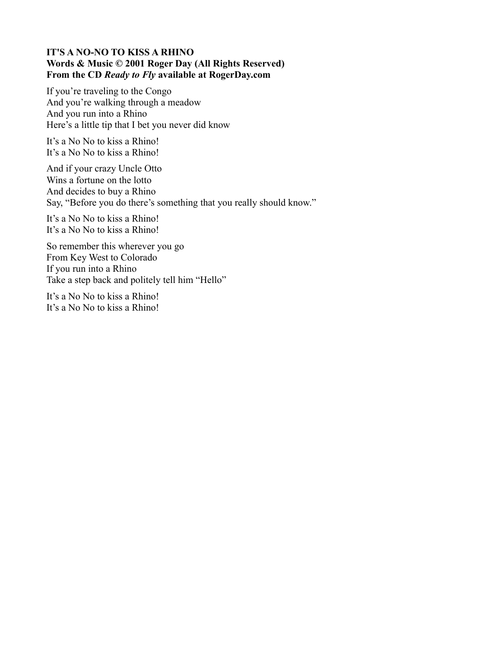## **IT'S A NO-NO TO KISS A RHINO Words & Music © 2001 Roger Day (All Rights Reserved) From the CD** *Ready to Fly* **available at RogerDay.com**

If you're traveling to the Congo And you're walking through a meadow And you run into a Rhino Here's a little tip that I bet you never did know

It's a No No to kiss a Rhino! It's a No No to kiss a Rhino!

And if your crazy Uncle Otto Wins a fortune on the lotto And decides to buy a Rhino Say, "Before you do there's something that you really should know."

It's a No No to kiss a Rhino! It's a No No to kiss a Rhino!

So remember this wherever you go From Key West to Colorado If you run into a Rhino Take a step back and politely tell him "Hello"

It's a No No to kiss a Rhino! It's a No No to kiss a Rhino!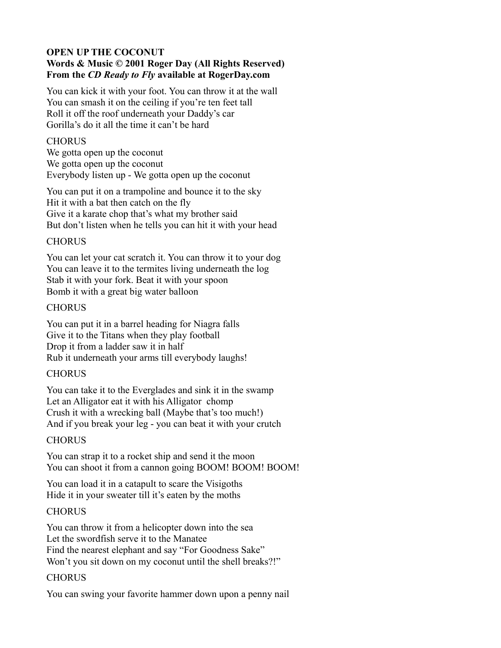# **OPEN UP THE COCONUT Words & Music © 2001 Roger Day (All Rights Reserved) From the** *CD Ready to Fly* **available at RogerDay.com**

You can kick it with your foot. You can throw it at the wall You can smash it on the ceiling if you're ten feet tall Roll it off the roof underneath your Daddy's car Gorilla's do it all the time it can't be hard

### **CHORUS**

We gotta open up the coconut We gotta open up the coconut Everybody listen up - We gotta open up the coconut

You can put it on a trampoline and bounce it to the sky Hit it with a bat then catch on the fly Give it a karate chop that's what my brother said But don't listen when he tells you can hit it with your head

# **CHORUS**

You can let your cat scratch it. You can throw it to your dog You can leave it to the termites living underneath the log Stab it with your fork. Beat it with your spoon Bomb it with a great big water balloon

# **CHORUS**

You can put it in a barrel heading for Niagra falls Give it to the Titans when they play football Drop it from a ladder saw it in half Rub it underneath your arms till everybody laughs!

# **CHORUS**

You can take it to the Everglades and sink it in the swamp Let an Alligator eat it with his Alligator chomp Crush it with a wrecking ball (Maybe that's too much!) And if you break your leg - you can beat it with your crutch

# **CHORUS**

You can strap it to a rocket ship and send it the moon You can shoot it from a cannon going BOOM! BOOM! BOOM!

You can load it in a catapult to scare the Visigoths Hide it in your sweater till it's eaten by the moths

# CHORUS

You can throw it from a helicopter down into the sea Let the swordfish serve it to the Manatee Find the nearest elephant and say "For Goodness Sake" Won't you sit down on my coconut until the shell breaks?!"

# **CHORUS**

You can swing your favorite hammer down upon a penny nail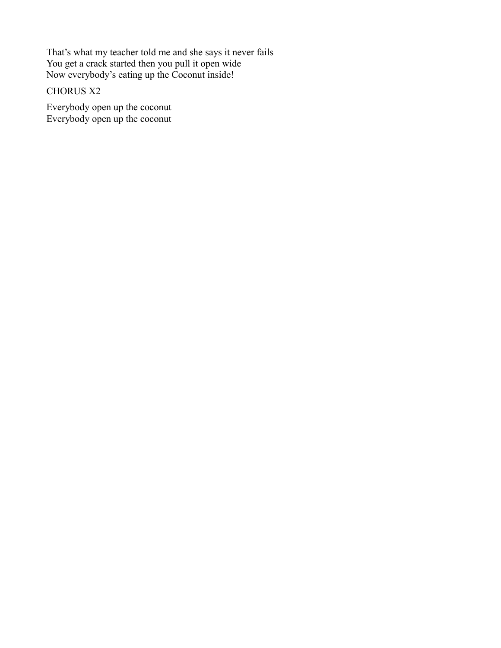That's what my teacher told me and she says it never fails You get a crack started then you pull it open wide Now everybody's eating up the Coconut inside!

# CHORUS X2

Everybody open up the coconut Everybody open up the coconut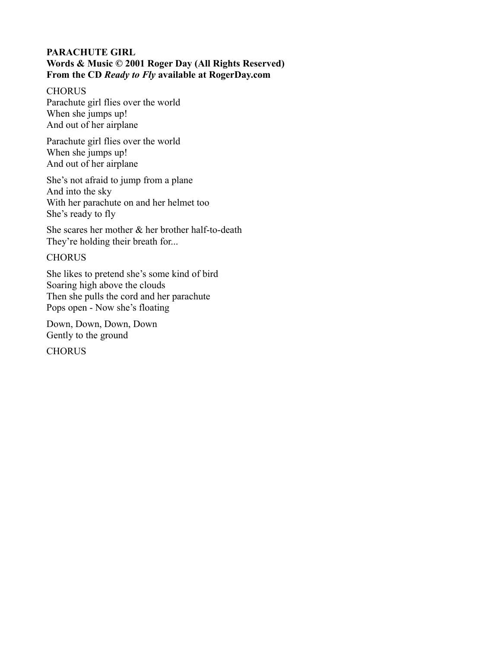## **PARACHUTE GIRL Words & Music © 2001 Roger Day (All Rights Reserved) From the CD** *Ready to Fly* **available at RogerDay.com**

**CHORUS** Parachute girl flies over the world When she jumps up! And out of her airplane

Parachute girl flies over the world When she jumps up! And out of her airplane

She's not afraid to jump from a plane And into the sky With her parachute on and her helmet too She's ready to fly

She scares her mother & her brother half-to-death They're holding their breath for...

# **CHORUS**

She likes to pretend she's some kind of bird Soaring high above the clouds Then she pulls the cord and her parachute Pops open - Now she's floating

Down, Down, Down, Down Gently to the ground

**CHORUS**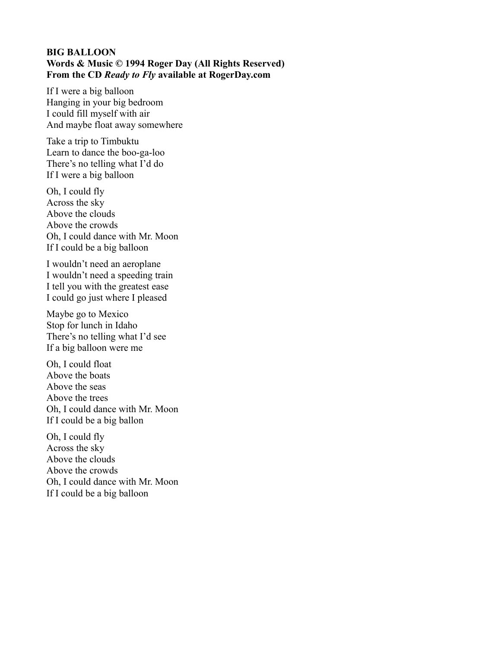### **BIG BALLOON Words & Music © 1994 Roger Day (All Rights Reserved) From the CD** *Ready to Fly* **available at RogerDay.com**

If I were a big balloon Hanging in your big bedroom I could fill myself with air And maybe float away somewhere

Take a trip to Timbuktu Learn to dance the boo-ga-loo There's no telling what I'd do If I were a big balloon

Oh, I could fly Across the sky Above the clouds Above the crowds Oh, I could dance with Mr. Moon If I could be a big balloon

I wouldn't need an aeroplane I wouldn't need a speeding train I tell you with the greatest ease I could go just where I pleased

Maybe go to Mexico Stop for lunch in Idaho There's no telling what I'd see If a big balloon were me

Oh, I could float Above the boats Above the seas Above the trees Oh, I could dance with Mr. Moon If I could be a big ballon

Oh, I could fly Across the sky Above the clouds Above the crowds Oh, I could dance with Mr. Moon If I could be a big balloon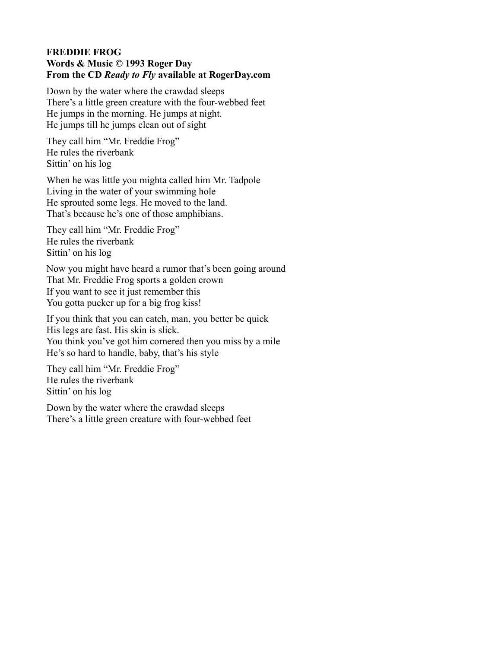### **FREDDIE FROG Words & Music © 1993 Roger Day From the CD** *Ready to Fly* **available at RogerDay.com**

Down by the water where the crawdad sleeps There's a little green creature with the four-webbed feet He jumps in the morning. He jumps at night. He jumps till he jumps clean out of sight

They call him "Mr. Freddie Frog" He rules the riverbank Sittin' on his log

When he was little you mighta called him Mr. Tadpole Living in the water of your swimming hole He sprouted some legs. He moved to the land. That's because he's one of those amphibians.

They call him "Mr. Freddie Frog" He rules the riverbank Sittin' on his log

Now you might have heard a rumor that's been going around That Mr. Freddie Frog sports a golden crown If you want to see it just remember this You gotta pucker up for a big frog kiss!

If you think that you can catch, man, you better be quick His legs are fast. His skin is slick. You think you've got him cornered then you miss by a mile He's so hard to handle, baby, that's his style

They call him "Mr. Freddie Frog" He rules the riverbank Sittin' on his log

Down by the water where the crawdad sleeps There's a little green creature with four-webbed feet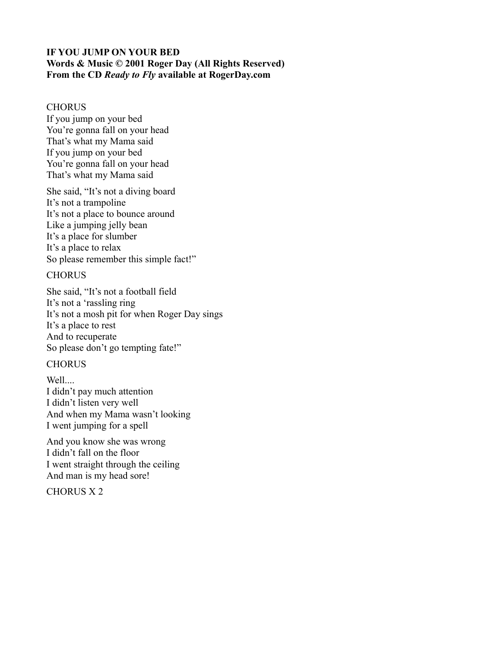## **IF YOU JUMP ON YOUR BED Words & Music © 2001 Roger Day (All Rights Reserved) From the CD** *Ready to Fly* **available at RogerDay.com**

#### **CHORUS**

If you jump on your bed You're gonna fall on your head That's what my Mama said If you jump on your bed You're gonna fall on your head That's what my Mama said

She said, "It's not a diving board It's not a trampoline It's not a place to bounce around Like a jumping jelly bean It's a place for slumber It's a place to relax So please remember this simple fact!"

### **CHORUS**

She said, "It's not a football field It's not a 'rassling ring It's not a mosh pit for when Roger Day sings It's a place to rest And to recuperate So please don't go tempting fate!"

# **CHORUS**

Well... I didn't pay much attention I didn't listen very well And when my Mama wasn't looking I went jumping for a spell

And you know she was wrong I didn't fall on the floor I went straight through the ceiling And man is my head sore!

CHORUS X 2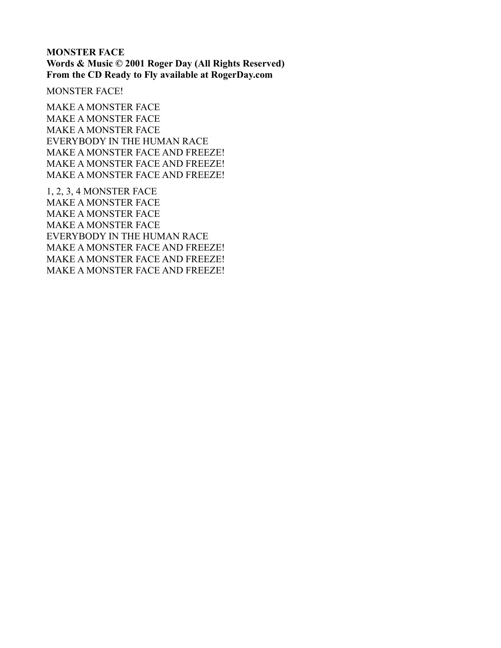#### **MONSTER FACE Words & Music © 2001 Roger Day (All Rights Reserved) From the CD Ready to Fly available at RogerDay.com**

MONSTER FACE!

MAKE A MONSTER FACE MAKE A MONSTER FACE MAKE A MONSTER FACE EVERYBODY IN THE HUMAN RACE MAKE A MONSTER FACE AND FREEZE! MAKE A MONSTER FACE AND FREEZE! MAKE A MONSTER FACE AND FREEZE!

1, 2, 3, 4 MONSTER FACE MAKE A MONSTER FACE MAKE A MONSTER FACE MAKE A MONSTER FACE EVERYBODY IN THE HUMAN RACE MAKE A MONSTER FACE AND FREEZE! MAKE A MONSTER FACE AND FREEZE! MAKE A MONSTER FACE AND FREEZE!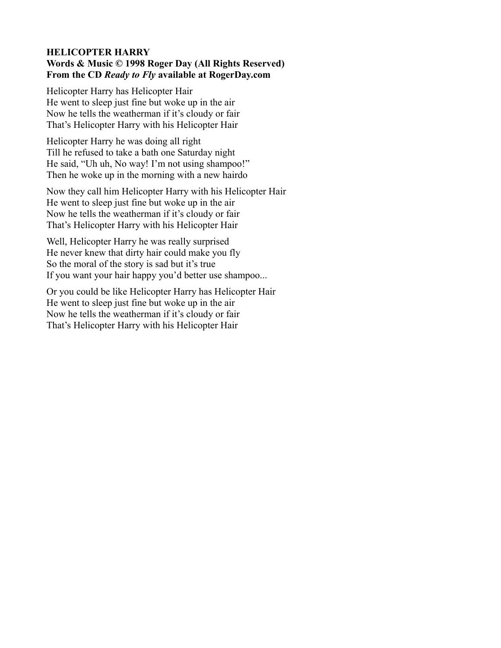## **HELICOPTER HARRY Words & Music © 1998 Roger Day (All Rights Reserved) From the CD** *Ready to Fly* **available at RogerDay.com**

Helicopter Harry has Helicopter Hair He went to sleep just fine but woke up in the air Now he tells the weatherman if it's cloudy or fair That's Helicopter Harry with his Helicopter Hair

Helicopter Harry he was doing all right Till he refused to take a bath one Saturday night He said, "Uh uh, No way! I'm not using shampoo!" Then he woke up in the morning with a new hairdo

Now they call him Helicopter Harry with his Helicopter Hair He went to sleep just fine but woke up in the air Now he tells the weatherman if it's cloudy or fair That's Helicopter Harry with his Helicopter Hair

Well, Helicopter Harry he was really surprised He never knew that dirty hair could make you fly So the moral of the story is sad but it's true If you want your hair happy you'd better use shampoo...

Or you could be like Helicopter Harry has Helicopter Hair He went to sleep just fine but woke up in the air Now he tells the weatherman if it's cloudy or fair That's Helicopter Harry with his Helicopter Hair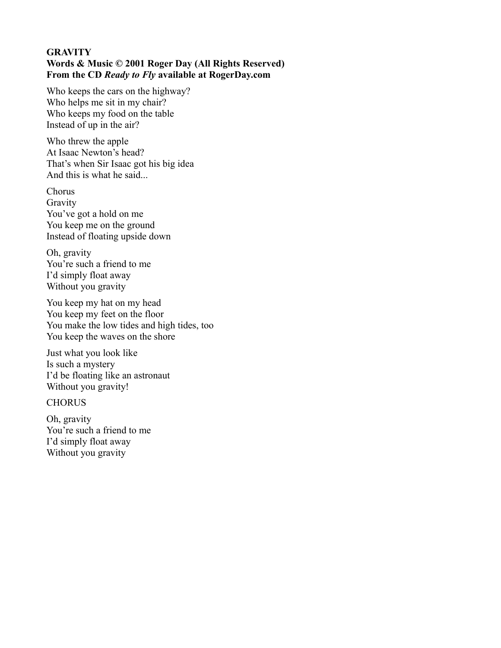## **GRAVITY Words & Music © 2001 Roger Day (All Rights Reserved) From the CD** *Ready to Fly* **available at RogerDay.com**

Who keeps the cars on the highway? Who helps me sit in my chair? Who keeps my food on the table Instead of up in the air?

Who threw the apple At Isaac Newton's head? That's when Sir Isaac got his big idea And this is what he said...

Chorus Gravity You've got a hold on me You keep me on the ground Instead of floating upside down

Oh, gravity You're such a friend to me I'd simply float away Without you gravity

You keep my hat on my head You keep my feet on the floor You make the low tides and high tides, too You keep the waves on the shore

Just what you look like Is such a mystery I'd be floating like an astronaut Without you gravity!

**CHORUS** 

Oh, gravity You're such a friend to me I'd simply float away Without you gravity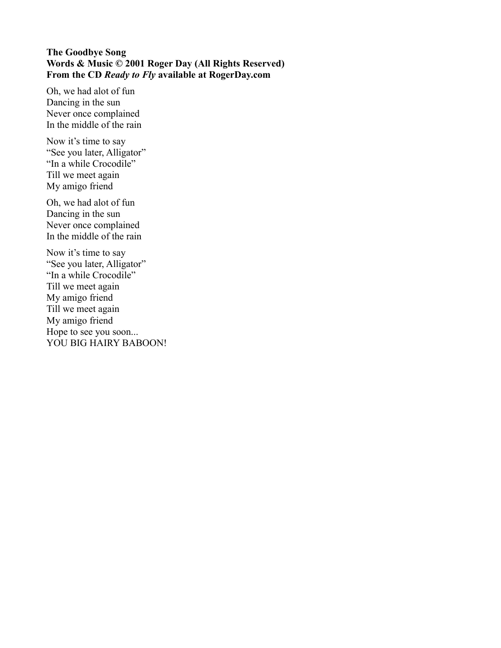## **The Goodbye Song Words & Music © 2001 Roger Day (All Rights Reserved) From the CD** *Ready to Fly* **available at RogerDay.com**

Oh, we had alot of fun Dancing in the sun Never once complained In the middle of the rain

Now it's time to say "See you later, Alligator" "In a while Crocodile" Till we meet again My amigo friend

Oh, we had alot of fun Dancing in the sun Never once complained In the middle of the rain

Now it's time to say "See you later, Alligator" "In a while Crocodile" Till we meet again My amigo friend Till we meet again My amigo friend Hope to see you soon... YOU BIG HAIRY BABOON!